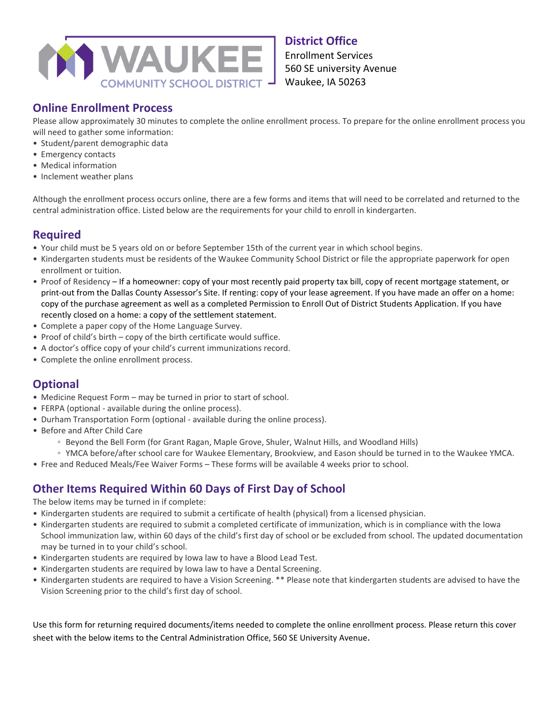

#### **District Office**

Enrollment Services 560 SE university Avenue Waukee, IA 50263

### **Online Enrollment Process**

Please allow approximately 30 minutes to complete the online enrollment process. To prepare for the online enrollment process you will need to gather some information:

- Student/parent demographic data
- Emergency contacts
- Medical information
- Inclement weather plans

Although the enrollment process occurs online, there are a few forms and items that will need to be correlated and returned to the central administration office. Listed below are the requirements for your child to enroll in kindergarten.

# **Required**

- Your child must be 5 years old on or before September 15th of the current year in which school begins.
- Kindergarten students must be residents of the Waukee Community School District or file the appropriate paperwork for open enrollment or tuition.
- Proof of Residency If a homeowner: copy of your most recently paid property tax bill, copy of recent mortgage statement, or print-out from the Dallas County Assessor's Site. If renting: copy of your lease agreement. If you have made an offer on a home: copy of the purchase agreement as well as a completed Permission to Enroll Out of District Students Application. If you have recently closed on a home: a copy of the settlement statement.
- Complete a paper copy of the Home Language Survey.
- Proof of child's birth copy of the birth certificate would suffice.
- A doctor's office copy of your child's current immunizations record.
- Complete the online enrollment process.

# **Optional**

- Medicine Request Form may be turned in prior to start of school.
- FERPA (optional available during the online process).
- Durham Transportation Form (optional available during the online process).
- Before and After Child Care
	- Beyond the Bell Form (for Grant Ragan, Maple Grove, Shuler, Walnut Hills, and Woodland Hills)
- YMCA before/after school care for Waukee Elementary, Brookview, and Eason should be turned in to the Waukee YMCA.
- Free and Reduced Meals/Fee Waiver Forms These forms will be available 4 weeks prior to school.

### **Other Items Required Within 60 Days of First Day of School**

The below items may be turned in if complete:

- Kindergarten students are required to submit a certificate of health (physical) from a licensed physician.
- Kindergarten students are required to submit a completed certificate of immunization, which is in compliance with the Iowa School immunization law, within 60 days of the child's first day of school or be excluded from school. The updated documentation may be turned in to your child's school.
- Kindergarten students are required by Iowa law to have a Blood Lead Test.
- Kindergarten students are required by Iowa law to have a Dental Screening.
- Kindergarten students are required to have a Vision Screening. \*\* Please note that kindergarten students are advised to have the Vision Screening prior to the child's first day of school.

Use this form for returning required documents/items needed to complete the online enrollment process. Please return this cover sheet with the below items to the Central Administration Office, 560 SE University Avenue.